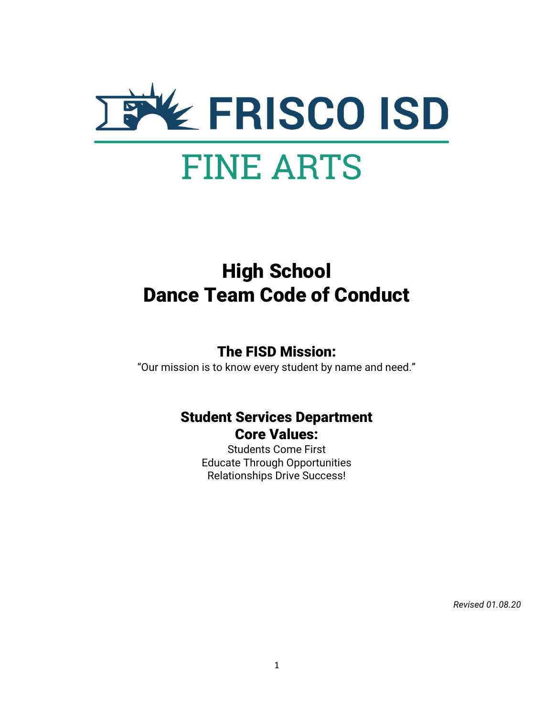

# High School Dance Team Code of Conduct

## The FISD Mission:

"Our mission is to know every student by name and need."

## Student Services Department Core Values:

Students Come First Educate Through Opportunities Relationships Drive Success!

Revised 01.08.20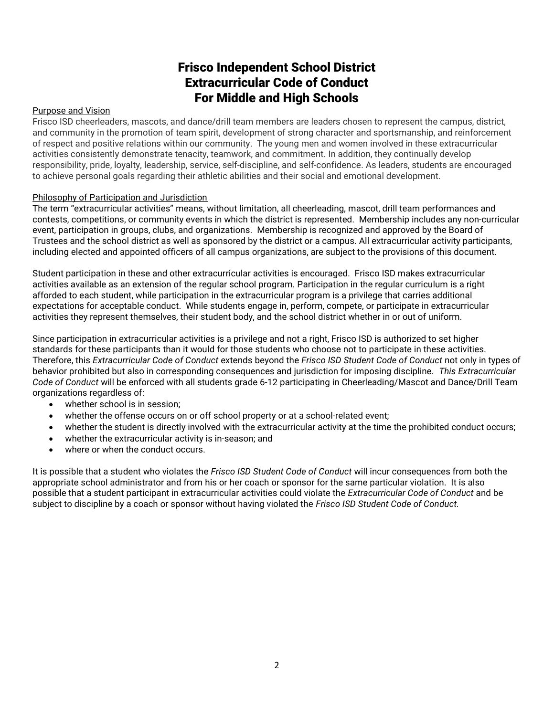## Frisco Independent School District Extracurricular Code of Conduct For Middle and High Schools

#### Purpose and Vision

Frisco ISD cheerleaders, mascots, and dance/drill team members are leaders chosen to represent the campus, district, and community in the promotion of team spirit, development of strong character and sportsmanship, and reinforcement of respect and positive relations within our community. The young men and women involved in these extracurricular activities consistently demonstrate tenacity, teamwork, and commitment. In addition, they continually develop responsibility, pride, loyalty, leadership, service, self-discipline, and self-confidence. As leaders, students are encouraged to achieve personal goals regarding their athletic abilities and their social and emotional development.

#### Philosophy of Participation and Jurisdiction

The term "extracurricular activities" means, without limitation, all cheerleading, mascot, drill team performances and contests, competitions, or community events in which the district is represented. Membership includes any non-curricular event, participation in groups, clubs, and organizations. Membership is recognized and approved by the Board of Trustees and the school district as well as sponsored by the district or a campus. All extracurricular activity participants, including elected and appointed officers of all campus organizations, are subject to the provisions of this document.

Student participation in these and other extracurricular activities is encouraged. Frisco ISD makes extracurricular activities available as an extension of the regular school program. Participation in the regular curriculum is a right afforded to each student, while participation in the extracurricular program is a privilege that carries additional expectations for acceptable conduct. While students engage in, perform, compete, or participate in extracurricular activities they represent themselves, their student body, and the school district whether in or out of uniform.

Since participation in extracurricular activities is a privilege and not a right, Frisco ISD is authorized to set higher standards for these participants than it would for those students who choose not to participate in these activities. Therefore, this Extracurricular Code of Conduct extends beyond the Frisco ISD Student Code of Conduct not only in types of behavior prohibited but also in corresponding consequences and jurisdiction for imposing discipline. This Extracurricular Code of Conduct will be enforced with all students grade 6-12 participating in Cheerleading/Mascot and Dance/Drill Team organizations regardless of:

- whether school is in session:
- whether the offense occurs on or off school property or at a school-related event;
- whether the student is directly involved with the extracurricular activity at the time the prohibited conduct occurs;
- whether the extracurricular activity is in-season; and
- where or when the conduct occurs.

It is possible that a student who violates the Frisco ISD Student Code of Conduct will incur consequences from both the appropriate school administrator and from his or her coach or sponsor for the same particular violation. It is also possible that a student participant in extracurricular activities could violate the Extracurricular Code of Conduct and be subject to discipline by a coach or sponsor without having violated the Frisco ISD Student Code of Conduct.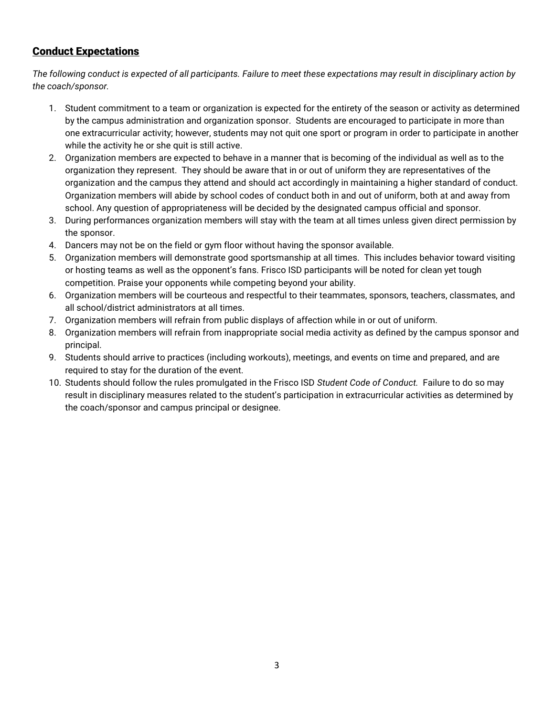## Conduct Expectations

The following conduct is expected of all participants. Failure to meet these expectations may result in disciplinary action by the coach/sponsor.

- 1. Student commitment to a team or organization is expected for the entirety of the season or activity as determined by the campus administration and organization sponsor. Students are encouraged to participate in more than one extracurricular activity; however, students may not quit one sport or program in order to participate in another while the activity he or she quit is still active.
- 2. Organization members are expected to behave in a manner that is becoming of the individual as well as to the organization they represent. They should be aware that in or out of uniform they are representatives of the organization and the campus they attend and should act accordingly in maintaining a higher standard of conduct. Organization members will abide by school codes of conduct both in and out of uniform, both at and away from school. Any question of appropriateness will be decided by the designated campus official and sponsor.
- 3. During performances organization members will stay with the team at all times unless given direct permission by the sponsor.
- 4. Dancers may not be on the field or gym floor without having the sponsor available.
- 5. Organization members will demonstrate good sportsmanship at all times. This includes behavior toward visiting or hosting teams as well as the opponent's fans. Frisco ISD participants will be noted for clean yet tough competition. Praise your opponents while competing beyond your ability.
- 6. Organization members will be courteous and respectful to their teammates, sponsors, teachers, classmates, and all school/district administrators at all times.
- 7. Organization members will refrain from public displays of affection while in or out of uniform.
- 8. Organization members will refrain from inappropriate social media activity as defined by the campus sponsor and principal.
- 9. Students should arrive to practices (including workouts), meetings, and events on time and prepared, and are required to stay for the duration of the event.
- 10. Students should follow the rules promulgated in the Frisco ISD Student Code of Conduct. Failure to do so may result in disciplinary measures related to the student's participation in extracurricular activities as determined by the coach/sponsor and campus principal or designee.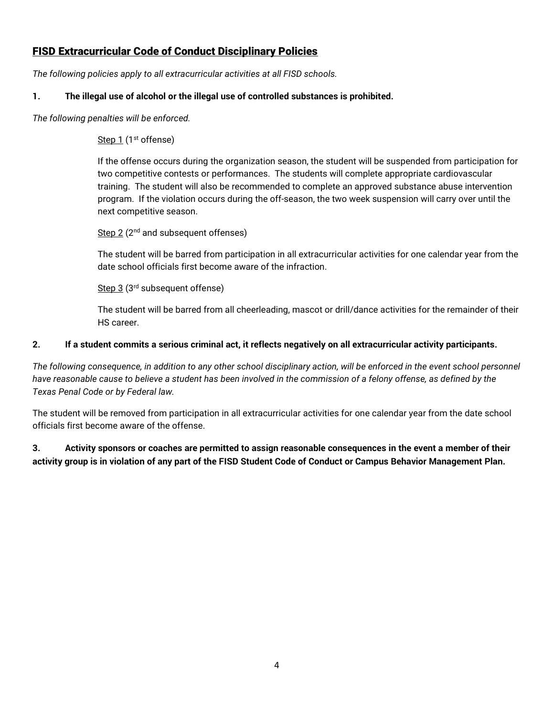## FISD Extracurricular Code of Conduct Disciplinary Policies

The following policies apply to all extracurricular activities at all FISD schools.

## 1. The illegal use of alcohol or the illegal use of controlled substances is prohibited.

The following penalties will be enforced.

## Step 1 (1<sup>st</sup> offense)

If the offense occurs during the organization season, the student will be suspended from participation for two competitive contests or performances. The students will complete appropriate cardiovascular training. The student will also be recommended to complete an approved substance abuse intervention program. If the violation occurs during the off-season, the two week suspension will carry over until the next competitive season.

## Step 2 (2<sup>nd</sup> and subsequent offenses)

The student will be barred from participation in all extracurricular activities for one calendar year from the date school officials first become aware of the infraction.

Step 3 (3<sup>rd</sup> subsequent offense)

The student will be barred from all cheerleading, mascot or drill/dance activities for the remainder of their HS career.

### 2. If a student commits a serious criminal act, it reflects negatively on all extracurricular activity participants.

The following consequence, in addition to any other school disciplinary action, will be enforced in the event school personnel have reasonable cause to believe a student has been involved in the commission of a felony offense, as defined by the Texas Penal Code or by Federal law.

The student will be removed from participation in all extracurricular activities for one calendar year from the date school officials first become aware of the offense.

3. Activity sponsors or coaches are permitted to assign reasonable consequences in the event a member of their activity group is in violation of any part of the FISD Student Code of Conduct or Campus Behavior Management Plan.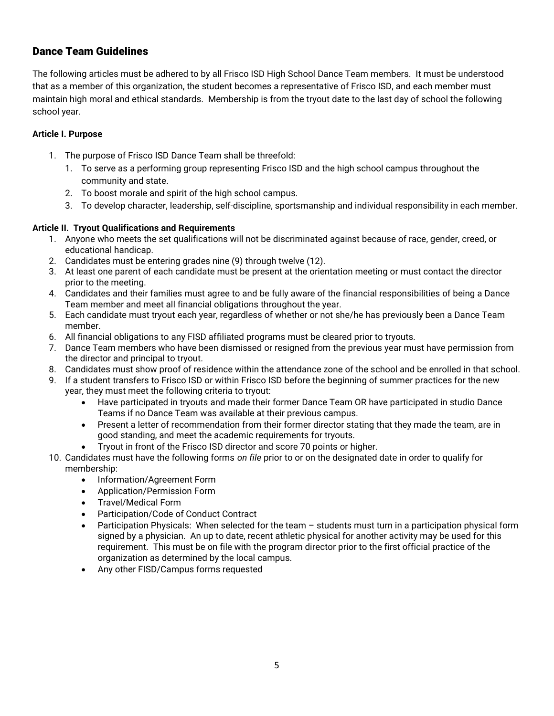## Dance Team Guidelines

The following articles must be adhered to by all Frisco ISD High School Dance Team members. It must be understood that as a member of this organization, the student becomes a representative of Frisco ISD, and each member must maintain high moral and ethical standards. Membership is from the tryout date to the last day of school the following school year.

#### Article I. Purpose

- 1. The purpose of Frisco ISD Dance Team shall be threefold:
	- 1. To serve as a performing group representing Frisco ISD and the high school campus throughout the community and state.
	- 2. To boost morale and spirit of the high school campus.
	- 3. To develop character, leadership, self-discipline, sportsmanship and individual responsibility in each member.

#### Article II. Tryout Qualifications and Requirements

- 1. Anyone who meets the set qualifications will not be discriminated against because of race, gender, creed, or educational handicap.
- 2. Candidates must be entering grades nine (9) through twelve (12).
- 3. At least one parent of each candidate must be present at the orientation meeting or must contact the director prior to the meeting.
- 4. Candidates and their families must agree to and be fully aware of the financial responsibilities of being a Dance Team member and meet all financial obligations throughout the year.
- 5. Each candidate must tryout each year, regardless of whether or not she/he has previously been a Dance Team member.
- 6. All financial obligations to any FISD affiliated programs must be cleared prior to tryouts.
- 7. Dance Team members who have been dismissed or resigned from the previous year must have permission from the director and principal to tryout.
- 8. Candidates must show proof of residence within the attendance zone of the school and be enrolled in that school.
- 9. If a student transfers to Frisco ISD or within Frisco ISD before the beginning of summer practices for the new year, they must meet the following criteria to tryout:
	- Have participated in tryouts and made their former Dance Team OR have participated in studio Dance Teams if no Dance Team was available at their previous campus.
	- Present a letter of recommendation from their former director stating that they made the team, are in good standing, and meet the academic requirements for tryouts.
	- Tryout in front of the Frisco ISD director and score 70 points or higher.
- 10. Candidates must have the following forms on file prior to or on the designated date in order to qualify for membership:
	- Information/Agreement Form
	- Application/Permission Form
	- Travel/Medical Form
	- Participation/Code of Conduct Contract
	- Participation Physicals: When selected for the team students must turn in a participation physical form signed by a physician. An up to date, recent athletic physical for another activity may be used for this requirement. This must be on file with the program director prior to the first official practice of the organization as determined by the local campus.
	- Any other FISD/Campus forms requested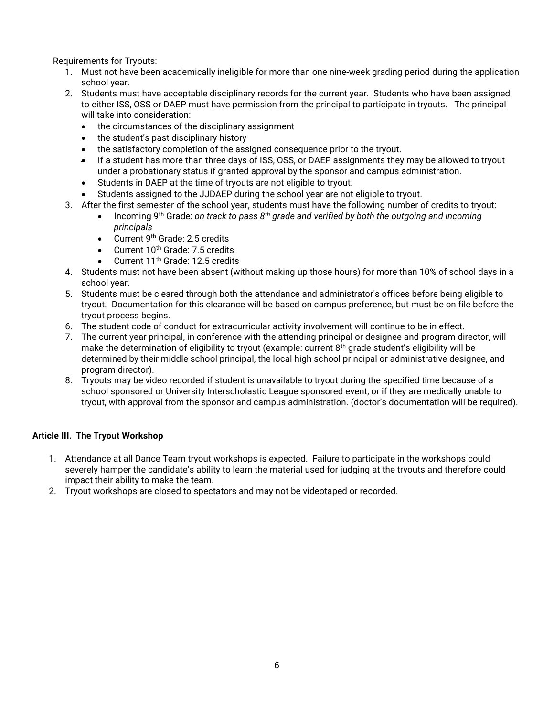Requirements for Tryouts:

- 1. Must not have been academically ineligible for more than one nine-week grading period during the application school year.
- 2. Students must have acceptable disciplinary records for the current year. Students who have been assigned to either ISS, OSS or DAEP must have permission from the principal to participate in tryouts. The principal will take into consideration:
	- the circumstances of the disciplinary assignment
	- the student's past disciplinary history
	- the satisfactory completion of the assigned consequence prior to the tryout.
	- If a student has more than three days of ISS, OSS, or DAEP assignments they may be allowed to tryout under a probationary status if granted approval by the sponsor and campus administration.
	- Students in DAEP at the time of tryouts are not eligible to tryout.
	- Students assigned to the JJDAEP during the school year are not eligible to tryout.
- 3. After the first semester of the school year, students must have the following number of credits to tryout:
	- Incoming 9<sup>th</sup> Grade: on track to pass  $8^{th}$  grade and verified by both the outgoing and incoming principals
	- Current 9<sup>th</sup> Grade: 2.5 credits
	- $\bullet$  Current 10<sup>th</sup> Grade: 7.5 credits
	- $\bullet$  Current 11<sup>th</sup> Grade: 12.5 credits
- 4. Students must not have been absent (without making up those hours) for more than 10% of school days in a school year.
- 5. Students must be cleared through both the attendance and administrator's offices before being eligible to tryout. Documentation for this clearance will be based on campus preference, but must be on file before the tryout process begins.
- 6. The student code of conduct for extracurricular activity involvement will continue to be in effect.
- 7. The current year principal, in conference with the attending principal or designee and program director, will make the determination of eligibility to tryout (example: current 8<sup>th</sup> grade student's eligibility will be determined by their middle school principal, the local high school principal or administrative designee, and program director).
- 8. Tryouts may be video recorded if student is unavailable to tryout during the specified time because of a school sponsored or University Interscholastic League sponsored event, or if they are medically unable to tryout, with approval from the sponsor and campus administration. (doctor's documentation will be required).

### Article III. The Tryout Workshop

- 1. Attendance at all Dance Team tryout workshops is expected. Failure to participate in the workshops could severely hamper the candidate's ability to learn the material used for judging at the tryouts and therefore could impact their ability to make the team.
- 2. Tryout workshops are closed to spectators and may not be videotaped or recorded.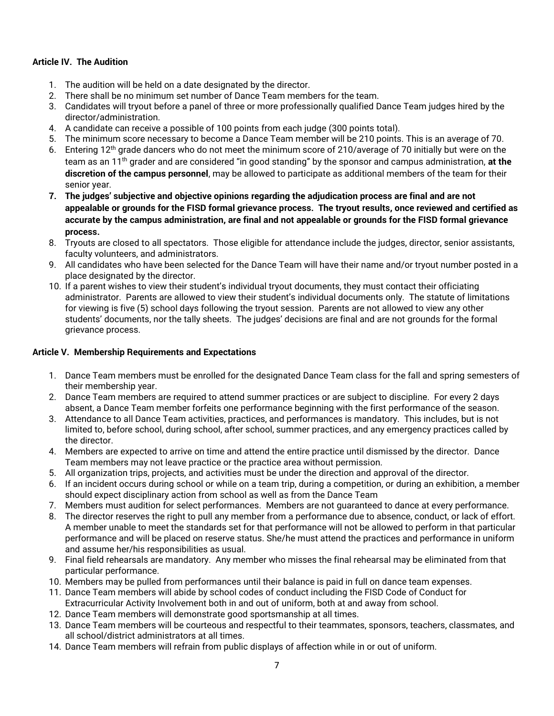#### Article IV. The Audition

- 1. The audition will be held on a date designated by the director.
- 2. There shall be no minimum set number of Dance Team members for the team.
- 3. Candidates will tryout before a panel of three or more professionally qualified Dance Team judges hired by the director/administration.
- 4. A candidate can receive a possible of 100 points from each judge (300 points total).
- 5. The minimum score necessary to become a Dance Team member will be 210 points. This is an average of 70.
- 6. Entering 12th grade dancers who do not meet the minimum score of 210/average of 70 initially but were on the team as an 11<sup>th</sup> grader and are considered "in good standing" by the sponsor and campus administration, at the discretion of the campus personnel, may be allowed to participate as additional members of the team for their senior year.
- 7. The judges' subjective and objective opinions regarding the adjudication process are final and are not appealable or grounds for the FISD formal grievance process. The tryout results, once reviewed and certified as accurate by the campus administration, are final and not appealable or grounds for the FISD formal grievance process.
- 8. Tryouts are closed to all spectators. Those eligible for attendance include the judges, director, senior assistants, faculty volunteers, and administrators.
- 9. All candidates who have been selected for the Dance Team will have their name and/or tryout number posted in a place designated by the director.
- 10. If a parent wishes to view their student's individual tryout documents, they must contact their officiating administrator. Parents are allowed to view their student's individual documents only. The statute of limitations for viewing is five (5) school days following the tryout session. Parents are not allowed to view any other students' documents, nor the tally sheets. The judges' decisions are final and are not grounds for the formal grievance process.

#### Article V. Membership Requirements and Expectations

- 1. Dance Team members must be enrolled for the designated Dance Team class for the fall and spring semesters of their membership year.
- 2. Dance Team members are required to attend summer practices or are subject to discipline. For every 2 days absent, a Dance Team member forfeits one performance beginning with the first performance of the season.
- 3. Attendance to all Dance Team activities, practices, and performances is mandatory. This includes, but is not limited to, before school, during school, after school, summer practices, and any emergency practices called by the director.
- 4. Members are expected to arrive on time and attend the entire practice until dismissed by the director. Dance Team members may not leave practice or the practice area without permission.
- 5. All organization trips, projects, and activities must be under the direction and approval of the director.
- 6. If an incident occurs during school or while on a team trip, during a competition, or during an exhibition, a member should expect disciplinary action from school as well as from the Dance Team
- 7. Members must audition for select performances. Members are not guaranteed to dance at every performance.
- 8. The director reserves the right to pull any member from a performance due to absence, conduct, or lack of effort. A member unable to meet the standards set for that performance will not be allowed to perform in that particular performance and will be placed on reserve status. She/he must attend the practices and performance in uniform and assume her/his responsibilities as usual.
- 9. Final field rehearsals are mandatory. Any member who misses the final rehearsal may be eliminated from that particular performance.
- 10. Members may be pulled from performances until their balance is paid in full on dance team expenses.
- 11. Dance Team members will abide by school codes of conduct including the FISD Code of Conduct for Extracurricular Activity Involvement both in and out of uniform, both at and away from school.
- 12. Dance Team members will demonstrate good sportsmanship at all times.
- 13. Dance Team members will be courteous and respectful to their teammates, sponsors, teachers, classmates, and all school/district administrators at all times.
- 14. Dance Team members will refrain from public displays of affection while in or out of uniform.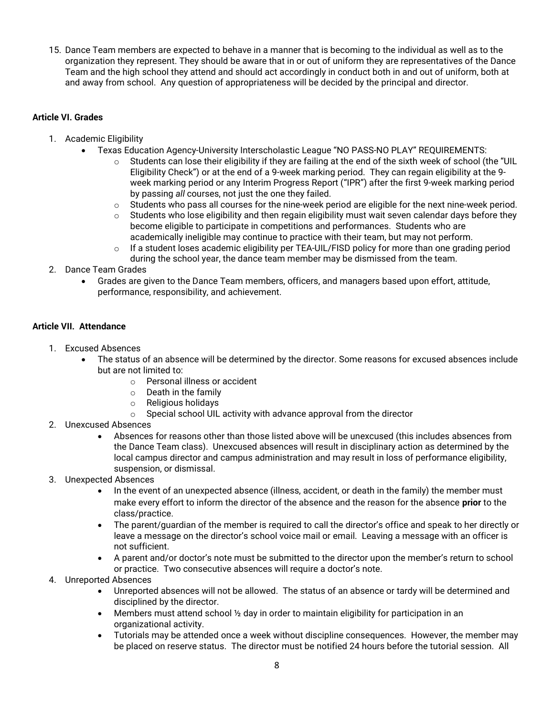15. Dance Team members are expected to behave in a manner that is becoming to the individual as well as to the organization they represent. They should be aware that in or out of uniform they are representatives of the Dance Team and the high school they attend and should act accordingly in conduct both in and out of uniform, both at and away from school. Any question of appropriateness will be decided by the principal and director.

#### Article VI. Grades

- 1. Academic Eligibility
	- Texas Education Agency-University Interscholastic League "NO PASS-NO PLAY" REQUIREMENTS:
		- $\circ$  Students can lose their eligibility if they are failing at the end of the sixth week of school (the "UIL Eligibility Check") or at the end of a 9-week marking period. They can regain eligibility at the 9 week marking period or any Interim Progress Report ("IPR") after the first 9-week marking period by passing all courses, not just the one they failed.
		- o Students who pass all courses for the nine-week period are eligible for the next nine-week period.
		- $\circ$  Students who lose eligibility and then regain eligibility must wait seven calendar days before they become eligible to participate in competitions and performances. Students who are academically ineligible may continue to practice with their team, but may not perform.
		- $\circ$  If a student loses academic eligibility per TEA-UIL/FISD policy for more than one grading period during the school year, the dance team member may be dismissed from the team.
- 2. Dance Team Grades
	- Grades are given to the Dance Team members, officers, and managers based upon effort, attitude, performance, responsibility, and achievement.

#### Article VII. Attendance

- 1. Excused Absences
	- The status of an absence will be determined by the director. Some reasons for excused absences include but are not limited to:
		- o Personal illness or accident
		- o Death in the family
		- o Religious holidays
		- $\circ$  Special school UIL activity with advance approval from the director
- 2. Unexcused Absences
	- Absences for reasons other than those listed above will be unexcused (this includes absences from the Dance Team class). Unexcused absences will result in disciplinary action as determined by the local campus director and campus administration and may result in loss of performance eligibility, suspension, or dismissal.
- 3. Unexpected Absences
	- In the event of an unexpected absence (illness, accident, or death in the family) the member must make every effort to inform the director of the absence and the reason for the absence prior to the class/practice.
	- The parent/guardian of the member is required to call the director's office and speak to her directly or leave a message on the director's school voice mail or email. Leaving a message with an officer is not sufficient.
	- A parent and/or doctor's note must be submitted to the director upon the member's return to school or practice. Two consecutive absences will require a doctor's note.
- 4. Unreported Absences
	- Unreported absences will not be allowed. The status of an absence or tardy will be determined and disciplined by the director.
	- Members must attend school  $\frac{1}{2}$  day in order to maintain eligibility for participation in an organizational activity.
	- Tutorials may be attended once a week without discipline consequences. However, the member may be placed on reserve status. The director must be notified 24 hours before the tutorial session. All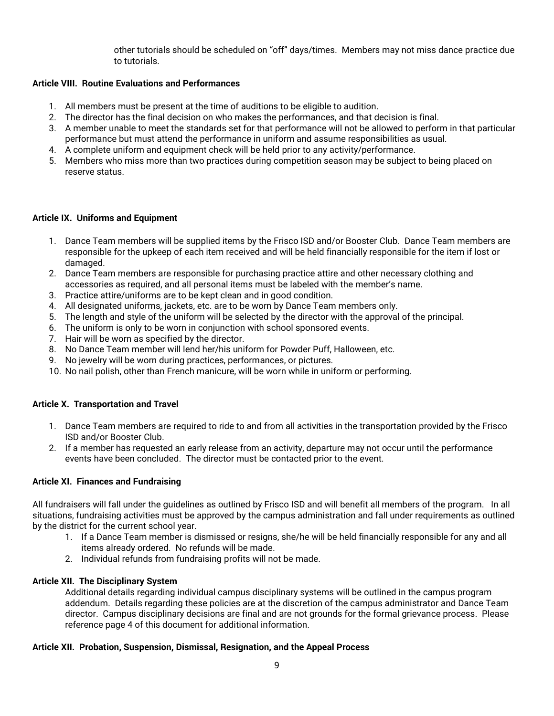other tutorials should be scheduled on "off" days/times. Members may not miss dance practice due to tutorials.

#### Article VIII. Routine Evaluations and Performances

- 1. All members must be present at the time of auditions to be eligible to audition.
- 2. The director has the final decision on who makes the performances, and that decision is final.
- 3. A member unable to meet the standards set for that performance will not be allowed to perform in that particular performance but must attend the performance in uniform and assume responsibilities as usual.
- 4. A complete uniform and equipment check will be held prior to any activity/performance.
- 5. Members who miss more than two practices during competition season may be subject to being placed on reserve status.

#### Article IX. Uniforms and Equipment

- 1. Dance Team members will be supplied items by the Frisco ISD and/or Booster Club. Dance Team members are responsible for the upkeep of each item received and will be held financially responsible for the item if lost or damaged.
- 2. Dance Team members are responsible for purchasing practice attire and other necessary clothing and accessories as required, and all personal items must be labeled with the member's name.
- 3. Practice attire/uniforms are to be kept clean and in good condition.
- 4. All designated uniforms, jackets, etc. are to be worn by Dance Team members only.
- 5. The length and style of the uniform will be selected by the director with the approval of the principal.
- 6. The uniform is only to be worn in conjunction with school sponsored events.
- 7. Hair will be worn as specified by the director.
- 8. No Dance Team member will lend her/his uniform for Powder Puff, Halloween, etc.
- 9. No jewelry will be worn during practices, performances, or pictures.
- 10. No nail polish, other than French manicure, will be worn while in uniform or performing.

#### Article X. Transportation and Travel

- 1. Dance Team members are required to ride to and from all activities in the transportation provided by the Frisco ISD and/or Booster Club.
- 2. If a member has requested an early release from an activity, departure may not occur until the performance events have been concluded. The director must be contacted prior to the event.

#### Article XI. Finances and Fundraising

All fundraisers will fall under the guidelines as outlined by Frisco ISD and will benefit all members of the program. In all situations, fundraising activities must be approved by the campus administration and fall under requirements as outlined by the district for the current school year.

- 1. If a Dance Team member is dismissed or resigns, she/he will be held financially responsible for any and all items already ordered. No refunds will be made.
- 2. Individual refunds from fundraising profits will not be made.

#### Article XII. The Disciplinary System

Additional details regarding individual campus disciplinary systems will be outlined in the campus program addendum. Details regarding these policies are at the discretion of the campus administrator and Dance Team director. Campus disciplinary decisions are final and are not grounds for the formal grievance process. Please reference page 4 of this document for additional information.

#### Article XII. Probation, Suspension, Dismissal, Resignation, and the Appeal Process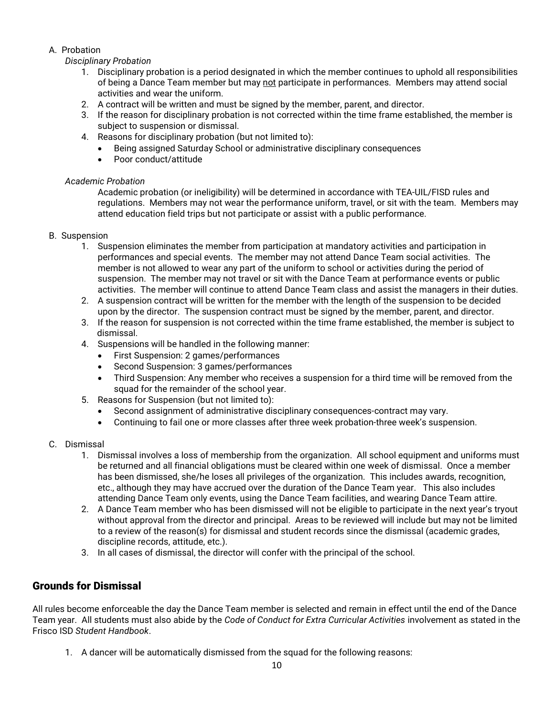### A. Probation

#### Disciplinary Probation

- 1. Disciplinary probation is a period designated in which the member continues to uphold all responsibilities of being a Dance Team member but may not participate in performances. Members may attend social activities and wear the uniform.
- 2. A contract will be written and must be signed by the member, parent, and director.
- 3. If the reason for disciplinary probation is not corrected within the time frame established, the member is subject to suspension or dismissal.
- 4. Reasons for disciplinary probation (but not limited to):
	- Being assigned Saturday School or administrative disciplinary consequences
	- Poor conduct/attitude

#### Academic Probation

Academic probation (or ineligibility) will be determined in accordance with TEA-UIL/FISD rules and regulations. Members may not wear the performance uniform, travel, or sit with the team. Members may attend education field trips but not participate or assist with a public performance.

#### B. Suspension

- 1. Suspension eliminates the member from participation at mandatory activities and participation in performances and special events. The member may not attend Dance Team social activities. The member is not allowed to wear any part of the uniform to school or activities during the period of suspension. The member may not travel or sit with the Dance Team at performance events or public activities. The member will continue to attend Dance Team class and assist the managers in their duties.
- 2. A suspension contract will be written for the member with the length of the suspension to be decided upon by the director. The suspension contract must be signed by the member, parent, and director.
- 3. If the reason for suspension is not corrected within the time frame established, the member is subject to dismissal.
- 4. Suspensions will be handled in the following manner:
	- First Suspension: 2 games/performances
	- Second Suspension: 3 games/performances
	- Third Suspension: Any member who receives a suspension for a third time will be removed from the squad for the remainder of the school year.
- 5. Reasons for Suspension (but not limited to):
	- Second assignment of administrative disciplinary consequences-contract may vary.
	- Continuing to fail one or more classes after three week probation-three week's suspension.
- C. Dismissal
	- 1. Dismissal involves a loss of membership from the organization. All school equipment and uniforms must be returned and all financial obligations must be cleared within one week of dismissal. Once a member has been dismissed, she/he loses all privileges of the organization. This includes awards, recognition, etc., although they may have accrued over the duration of the Dance Team year. This also includes attending Dance Team only events, using the Dance Team facilities, and wearing Dance Team attire.
	- 2. A Dance Team member who has been dismissed will not be eligible to participate in the next year's tryout without approval from the director and principal. Areas to be reviewed will include but may not be limited to a review of the reason(s) for dismissal and student records since the dismissal (academic grades, discipline records, attitude, etc.).
	- 3. In all cases of dismissal, the director will confer with the principal of the school.

## Grounds for Dismissal

All rules become enforceable the day the Dance Team member is selected and remain in effect until the end of the Dance Team year. All students must also abide by the Code of Conduct for Extra Curricular Activities involvement as stated in the Frisco ISD Student Handbook.

1. A dancer will be automatically dismissed from the squad for the following reasons: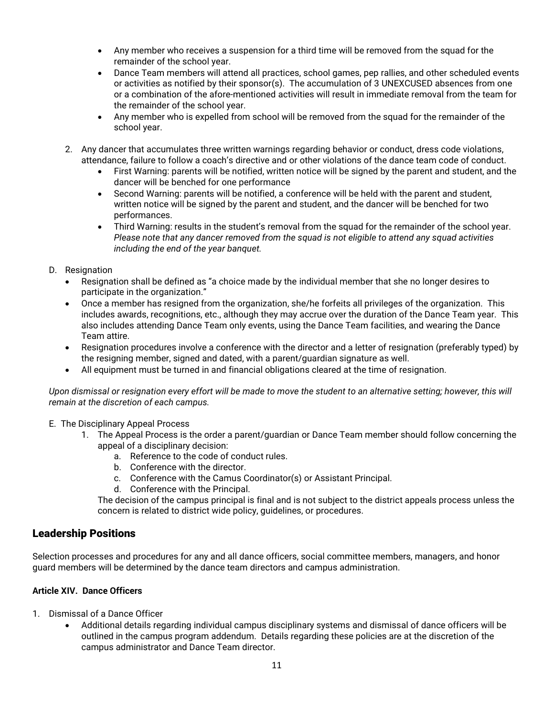- Any member who receives a suspension for a third time will be removed from the squad for the remainder of the school year.
- Dance Team members will attend all practices, school games, pep rallies, and other scheduled events or activities as notified by their sponsor(s). The accumulation of 3 UNEXCUSED absences from one or a combination of the afore-mentioned activities will result in immediate removal from the team for the remainder of the school year.
- Any member who is expelled from school will be removed from the squad for the remainder of the school year.
- 2. Any dancer that accumulates three written warnings regarding behavior or conduct, dress code violations, attendance, failure to follow a coach's directive and or other violations of the dance team code of conduct.
	- First Warning: parents will be notified, written notice will be signed by the parent and student, and the dancer will be benched for one performance
	- Second Warning: parents will be notified, a conference will be held with the parent and student, written notice will be signed by the parent and student, and the dancer will be benched for two performances.
	- Third Warning: results in the student's removal from the squad for the remainder of the school year. Please note that any dancer removed from the squad is not eligible to attend any squad activities including the end of the year banquet.

#### D. Resignation

- Resignation shall be defined as "a choice made by the individual member that she no longer desires to participate in the organization."
- Once a member has resigned from the organization, she/he forfeits all privileges of the organization. This includes awards, recognitions, etc., although they may accrue over the duration of the Dance Team year. This also includes attending Dance Team only events, using the Dance Team facilities, and wearing the Dance Team attire.
- Resignation procedures involve a conference with the director and a letter of resignation (preferably typed) by the resigning member, signed and dated, with a parent/guardian signature as well.
- All equipment must be turned in and financial obligations cleared at the time of resignation.

Upon dismissal or resignation every effort will be made to move the student to an alternative setting; however, this will remain at the discretion of each campus.

#### E. The Disciplinary Appeal Process

- 1. The Appeal Process is the order a parent/guardian or Dance Team member should follow concerning the appeal of a disciplinary decision:
	- a. Reference to the code of conduct rules.
	- b. Conference with the director.
	- c. Conference with the Camus Coordinator(s) or Assistant Principal.
	- d. Conference with the Principal.

The decision of the campus principal is final and is not subject to the district appeals process unless the concern is related to district wide policy, guidelines, or procedures.

### Leadership Positions

Selection processes and procedures for any and all dance officers, social committee members, managers, and honor guard members will be determined by the dance team directors and campus administration.

#### Article XIV. Dance Officers

- 1. Dismissal of a Dance Officer
	- Additional details regarding individual campus disciplinary systems and dismissal of dance officers will be outlined in the campus program addendum. Details regarding these policies are at the discretion of the campus administrator and Dance Team director.